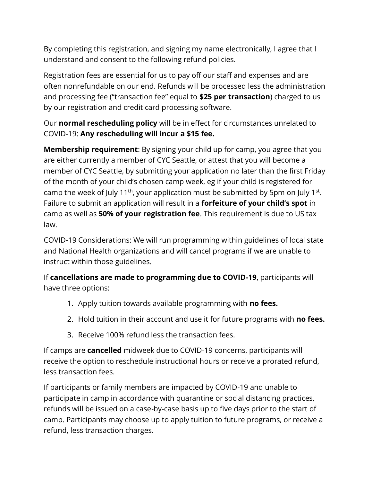By completing this registration, and signing my name electronically, I agree that I understand and consent to the following refund policies.

Registration fees are essential for us to pay off our staff and expenses and are often nonrefundable on our end. Refunds will be processed less the administration and processing fee ("transaction fee" equal to **\$25 per transaction**) charged to us by our registration and credit card processing software.

Our **normal rescheduling policy** will be in effect for circumstances unrelated to COVID-19: **Any rescheduling will incur a \$15 fee.** 

**Membership requirement**: By signing your child up for camp, you agree that you are either currently a member of CYC Seattle, or attest that you will become a member of CYC Seattle, by submitting your application no later than the first Friday of the month of your child's chosen camp week, eg if your child is registered for camp the week of July 11<sup>th</sup>, your application must be submitted by 5pm on July 1<sup>st</sup>. Failure to submit an application will result in a **forfeiture of your child's spot** in camp as well as **50% of your registration fee**. This requirement is due to US tax law.

COVID-19 Considerations: We will run programming within guidelines of local state and National Health organizations and will cancel programs if we are unable to instruct within those guidelines.

If **cancellations are made to programming due to COVID-19**, participants will have three options:

- 1. Apply tuition towards available programming with **no fees.**
- 2. Hold tuition in their account and use it for future programs with **no fees.**
- 3. Receive 100% refund less the transaction fees.

If camps are **cancelled** midweek due to COVID-19 concerns, participants will receive the option to reschedule instructional hours or receive a prorated refund, less transaction fees.

If participants or family members are impacted by COVID-19 and unable to participate in camp in accordance with quarantine or social distancing practices, refunds will be issued on a case-by-case basis up to five days prior to the start of camp. Participants may choose up to apply tuition to future programs, or receive a refund, less transaction charges.